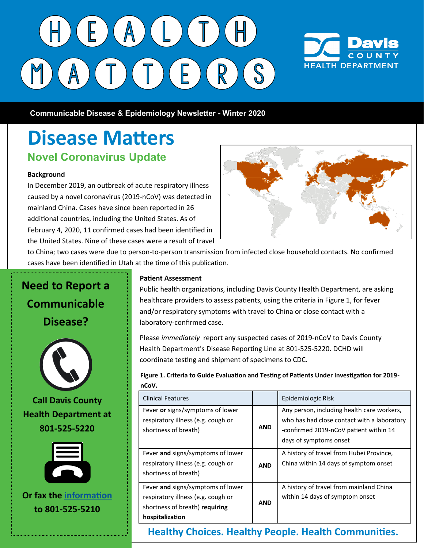## $E(A)$  $\top$ ) (  $\top$  ) (  $\mathsf{R}^+$  $E$ ) (



 **Communicable Disease & Epidemiology Newsletter - Winter 2020**

#### **Disease Matters Novel Coronavirus Update**

#### **Background**

In December 2019, an outbreak of acute respiratory illness caused by a novel coronavirus (2019-nCoV) was detected in mainland China. Cases have since been reported in 26 additional countries, including the United States. As of February 4, 2020, 11 confirmed cases had been identified in the United States. Nine of these cases were a result of travel



to China; two cases were due to person-to-person transmission from infected close household contacts. No confirmed cases have been identified in Utah at the time of this publication.

## **Need to Report a Communicable Disease? Call Davis County Health Department at 801-525-5220 Or fax the [information](http://www.co.davis.ut.us/docs/librariesprovider5/communicable-disease-and-epidemiology-division-documents/healthcare-professionals/disease_report_form.pdf?sfvrsn=18aa4653_2) to 801-525-5210**

#### **Patient Assessment**

Public health organizations, including Davis County Health Department, are asking healthcare providers to assess patients, using the criteria in Figure 1, for fever and/or respiratory symptoms with travel to China or close contact with a laboratory-confirmed case.

Please *immediately* report any suspected cases of 2019-nCoV to Davis County Health Department's Disease Reporting Line at 801-525-5220. DCHD will coordinate testing and shipment of specimens to CDC.

**Figure 1. Criteria to Guide Evaluation and Testing of Patients Under Investigation for 2019 nCoV.**

| <b>Clinical Features</b>                                                                                                     |            | Epidemiologic Risk                                                                                                                                            |
|------------------------------------------------------------------------------------------------------------------------------|------------|---------------------------------------------------------------------------------------------------------------------------------------------------------------|
| Fever or signs/symptoms of lower<br>respiratory illness (e.g. cough or<br>shortness of breath)                               | <b>AND</b> | Any person, including health care workers,<br>who has had close contact with a laboratory<br>-confirmed 2019-nCoV patient within 14<br>days of symptoms onset |
| Fever and signs/symptoms of lower<br>respiratory illness (e.g. cough or<br>shortness of breath)                              | <b>AND</b> | A history of travel from Hubei Province,<br>China within 14 days of symptom onset                                                                             |
| Fever and signs/symptoms of lower<br>respiratory illness (e.g. cough or<br>shortness of breath) requiring<br>hospitalization | <b>AND</b> | A history of travel from mainland China<br>within 14 days of symptom onset                                                                                    |

**Healthy Choices. Healthy People. Health Communities.**